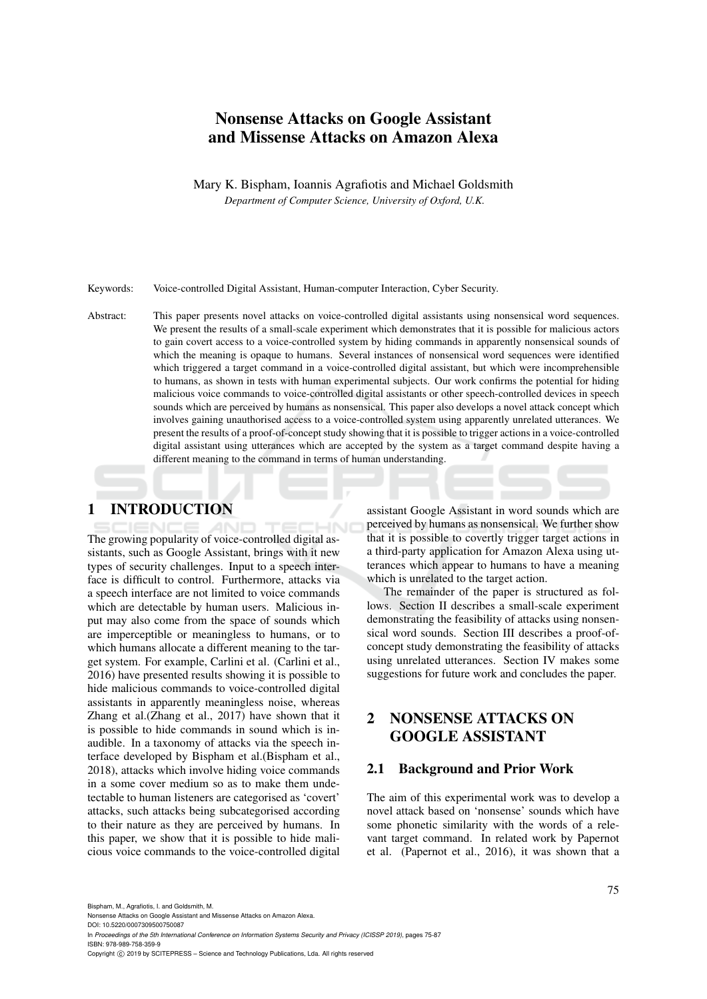# Nonsense Attacks on Google Assistant and Missense Attacks on Amazon Alexa

Mary K. Bispham, Ioannis Agrafiotis and Michael Goldsmith *Department of Computer Science, University of Oxford, U.K.*

Keywords: Voice-controlled Digital Assistant, Human-computer Interaction, Cyber Security.

Abstract: This paper presents novel attacks on voice-controlled digital assistants using nonsensical word sequences. We present the results of a small-scale experiment which demonstrates that it is possible for malicious actors to gain covert access to a voice-controlled system by hiding commands in apparently nonsensical sounds of which the meaning is opaque to humans. Several instances of nonsensical word sequences were identified which triggered a target command in a voice-controlled digital assistant, but which were incomprehensible to humans, as shown in tests with human experimental subjects. Our work confirms the potential for hiding malicious voice commands to voice-controlled digital assistants or other speech-controlled devices in speech sounds which are perceived by humans as nonsensical. This paper also develops a novel attack concept which involves gaining unauthorised access to a voice-controlled system using apparently unrelated utterances. We present the results of a proof-of-concept study showing that it is possible to trigger actions in a voice-controlled digital assistant using utterances which are accepted by the system as a target command despite having a different meaning to the command in terms of human understanding.

# 1 INTRODUCTION

The growing popularity of voice-controlled digital assistants, such as Google Assistant, brings with it new types of security challenges. Input to a speech interface is difficult to control. Furthermore, attacks via a speech interface are not limited to voice commands which are detectable by human users. Malicious input may also come from the space of sounds which are imperceptible or meaningless to humans, or to which humans allocate a different meaning to the target system. For example, Carlini et al. (Carlini et al., 2016) have presented results showing it is possible to hide malicious commands to voice-controlled digital assistants in apparently meaningless noise, whereas Zhang et al.(Zhang et al., 2017) have shown that it is possible to hide commands in sound which is inaudible. In a taxonomy of attacks via the speech interface developed by Bispham et al.(Bispham et al., 2018), attacks which involve hiding voice commands in a some cover medium so as to make them undetectable to human listeners are categorised as 'covert' attacks, such attacks being subcategorised according to their nature as they are perceived by humans. In this paper, we show that it is possible to hide malicious voice commands to the voice-controlled digital

assistant Google Assistant in word sounds which are perceived by humans as nonsensical. We further show that it is possible to covertly trigger target actions in a third-party application for Amazon Alexa using utterances which appear to humans to have a meaning which is unrelated to the target action.

The remainder of the paper is structured as follows. Section II describes a small-scale experiment demonstrating the feasibility of attacks using nonsensical word sounds. Section III describes a proof-ofconcept study demonstrating the feasibility of attacks using unrelated utterances. Section IV makes some suggestions for future work and concludes the paper.

# 2 NONSENSE ATTACKS ON GOOGLE ASSISTANT

#### 2.1 Background and Prior Work

The aim of this experimental work was to develop a novel attack based on 'nonsense' sounds which have some phonetic similarity with the words of a relevant target command. In related work by Papernot et al. (Papernot et al., 2016), it was shown that a

Bispham, M., Agrafiotis, I. and Goldsmith, M.

Nonsense Attacks on Google Assistant and Missense Attacks on Amazon Alexa.

DOI: 10.5220/0007309500750087

In *Proceedings of the 5th International Conference on Information Systems Security and Privacy (ICISSP 2019)*, pages 75-87 ISBN: 978-989-758-359-9

Copyright (C) 2019 by SCITEPRESS - Science and Technology Publications, Lda. All rights reserved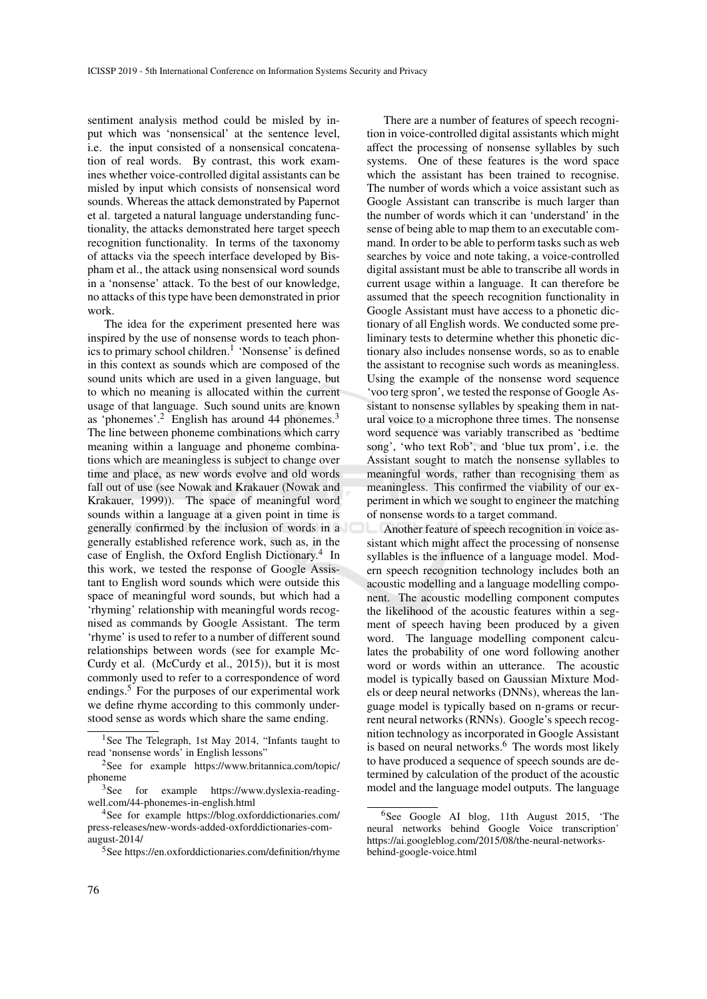sentiment analysis method could be misled by input which was 'nonsensical' at the sentence level, i.e. the input consisted of a nonsensical concatenation of real words. By contrast, this work examines whether voice-controlled digital assistants can be misled by input which consists of nonsensical word sounds. Whereas the attack demonstrated by Papernot et al. targeted a natural language understanding functionality, the attacks demonstrated here target speech recognition functionality. In terms of the taxonomy of attacks via the speech interface developed by Bispham et al., the attack using nonsensical word sounds in a 'nonsense' attack. To the best of our knowledge, no attacks of this type have been demonstrated in prior work.

The idea for the experiment presented here was inspired by the use of nonsense words to teach phonics to primary school children.<sup>1</sup> 'Nonsense' is defined in this context as sounds which are composed of the sound units which are used in a given language, but to which no meaning is allocated within the current usage of that language. Such sound units are known as 'phonemes'.<sup>2</sup> English has around 44 phonemes.<sup>3</sup> The line between phoneme combinations which carry meaning within a language and phoneme combinations which are meaningless is subject to change over time and place, as new words evolve and old words fall out of use (see Nowak and Krakauer (Nowak and Krakauer, 1999)). The space of meaningful word sounds within a language at a given point in time is generally confirmed by the inclusion of words in a generally established reference work, such as, in the case of English, the Oxford English Dictionary.<sup>4</sup> In this work, we tested the response of Google Assistant to English word sounds which were outside this space of meaningful word sounds, but which had a 'rhyming' relationship with meaningful words recognised as commands by Google Assistant. The term 'rhyme' is used to refer to a number of different sound relationships between words (see for example Mc-Curdy et al. (McCurdy et al., 2015)), but it is most commonly used to refer to a correspondence of word endings.<sup>5</sup> For the purposes of our experimental work we define rhyme according to this commonly understood sense as words which share the same ending.

There are a number of features of speech recognition in voice-controlled digital assistants which might affect the processing of nonsense syllables by such systems. One of these features is the word space which the assistant has been trained to recognise. The number of words which a voice assistant such as Google Assistant can transcribe is much larger than the number of words which it can 'understand' in the sense of being able to map them to an executable command. In order to be able to perform tasks such as web searches by voice and note taking, a voice-controlled digital assistant must be able to transcribe all words in current usage within a language. It can therefore be assumed that the speech recognition functionality in Google Assistant must have access to a phonetic dictionary of all English words. We conducted some preliminary tests to determine whether this phonetic dictionary also includes nonsense words, so as to enable the assistant to recognise such words as meaningless. Using the example of the nonsense word sequence 'voo terg spron', we tested the response of Google Assistant to nonsense syllables by speaking them in natural voice to a microphone three times. The nonsense word sequence was variably transcribed as 'bedtime song', 'who text Rob', and 'blue tux prom', i.e. the Assistant sought to match the nonsense syllables to meaningful words, rather than recognising them as meaningless. This confirmed the viability of our experiment in which we sought to engineer the matching of nonsense words to a target command.

Another feature of speech recognition in voice assistant which might affect the processing of nonsense syllables is the influence of a language model. Modern speech recognition technology includes both an acoustic modelling and a language modelling component. The acoustic modelling component computes the likelihood of the acoustic features within a segment of speech having been produced by a given word. The language modelling component calculates the probability of one word following another word or words within an utterance. The acoustic model is typically based on Gaussian Mixture Models or deep neural networks (DNNs), whereas the language model is typically based on n-grams or recurrent neural networks (RNNs). Google's speech recognition technology as incorporated in Google Assistant is based on neural networks. $6$  The words most likely to have produced a sequence of speech sounds are determined by calculation of the product of the acoustic model and the language model outputs. The language

<sup>&</sup>lt;sup>1</sup>See The Telegraph, 1st May 2014, "Infants taught to read 'nonsense words' in English lessons"

<sup>2</sup>See for example https://www.britannica.com/topic/ phoneme

<sup>3</sup>See for example https://www.dyslexia-readingwell.com/44-phonemes-in-english.html

<sup>4</sup>See for example https://blog.oxforddictionaries.com/ press-releases/new-words-added-oxforddictionaries-comaugust-2014/

<sup>5</sup>See https://en.oxforddictionaries.com/definition/rhyme

<sup>&</sup>lt;sup>6</sup>See Google AI blog, 11th August 2015, 'The neural networks behind Google Voice transcription' https://ai.googleblog.com/2015/08/the-neural-networksbehind-google-voice.html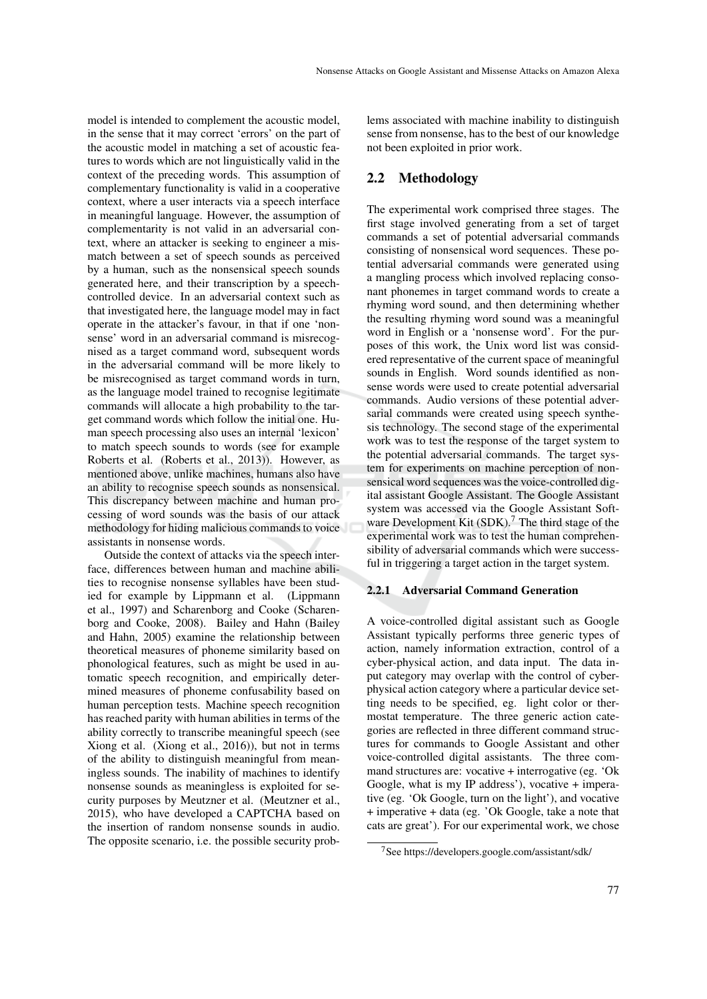model is intended to complement the acoustic model, in the sense that it may correct 'errors' on the part of the acoustic model in matching a set of acoustic features to words which are not linguistically valid in the context of the preceding words. This assumption of complementary functionality is valid in a cooperative context, where a user interacts via a speech interface in meaningful language. However, the assumption of complementarity is not valid in an adversarial context, where an attacker is seeking to engineer a mismatch between a set of speech sounds as perceived by a human, such as the nonsensical speech sounds generated here, and their transcription by a speechcontrolled device. In an adversarial context such as that investigated here, the language model may in fact operate in the attacker's favour, in that if one 'nonsense' word in an adversarial command is misrecognised as a target command word, subsequent words in the adversarial command will be more likely to be misrecognised as target command words in turn, as the language model trained to recognise legitimate commands will allocate a high probability to the target command words which follow the initial one. Human speech processing also uses an internal 'lexicon' to match speech sounds to words (see for example Roberts et al. (Roberts et al., 2013)). However, as mentioned above, unlike machines, humans also have an ability to recognise speech sounds as nonsensical. This discrepancy between machine and human processing of word sounds was the basis of our attack methodology for hiding malicious commands to voice assistants in nonsense words.

Outside the context of attacks via the speech interface, differences between human and machine abilities to recognise nonsense syllables have been studied for example by Lippmann et al. (Lippmann et al., 1997) and Scharenborg and Cooke (Scharenborg and Cooke, 2008). Bailey and Hahn (Bailey and Hahn, 2005) examine the relationship between theoretical measures of phoneme similarity based on phonological features, such as might be used in automatic speech recognition, and empirically determined measures of phoneme confusability based on human perception tests. Machine speech recognition has reached parity with human abilities in terms of the ability correctly to transcribe meaningful speech (see Xiong et al. (Xiong et al., 2016)), but not in terms of the ability to distinguish meaningful from meaningless sounds. The inability of machines to identify nonsense sounds as meaningless is exploited for security purposes by Meutzner et al. (Meutzner et al., 2015), who have developed a CAPTCHA based on the insertion of random nonsense sounds in audio. The opposite scenario, i.e. the possible security problems associated with machine inability to distinguish sense from nonsense, has to the best of our knowledge not been exploited in prior work.

## 2.2 Methodology

The experimental work comprised three stages. The first stage involved generating from a set of target commands a set of potential adversarial commands consisting of nonsensical word sequences. These potential adversarial commands were generated using a mangling process which involved replacing consonant phonemes in target command words to create a rhyming word sound, and then determining whether the resulting rhyming word sound was a meaningful word in English or a 'nonsense word'. For the purposes of this work, the Unix word list was considered representative of the current space of meaningful sounds in English. Word sounds identified as nonsense words were used to create potential adversarial commands. Audio versions of these potential adversarial commands were created using speech synthesis technology. The second stage of the experimental work was to test the response of the target system to the potential adversarial commands. The target system for experiments on machine perception of nonsensical word sequences was the voice-controlled digital assistant Google Assistant. The Google Assistant system was accessed via the Google Assistant Software Development Kit  $(SDK)$ .<sup>7</sup> The third stage of the experimental work was to test the human comprehensibility of adversarial commands which were successful in triggering a target action in the target system.

## 2.2.1 Adversarial Command Generation

A voice-controlled digital assistant such as Google Assistant typically performs three generic types of action, namely information extraction, control of a cyber-physical action, and data input. The data input category may overlap with the control of cyberphysical action category where a particular device setting needs to be specified, eg. light color or thermostat temperature. The three generic action categories are reflected in three different command structures for commands to Google Assistant and other voice-controlled digital assistants. The three command structures are: vocative + interrogative (eg. 'Ok Google, what is my IP address'), vocative  $+$  imperative (eg. 'Ok Google, turn on the light'), and vocative + imperative + data (eg. 'Ok Google, take a note that cats are great'). For our experimental work, we chose

<sup>7</sup>See https://developers.google.com/assistant/sdk/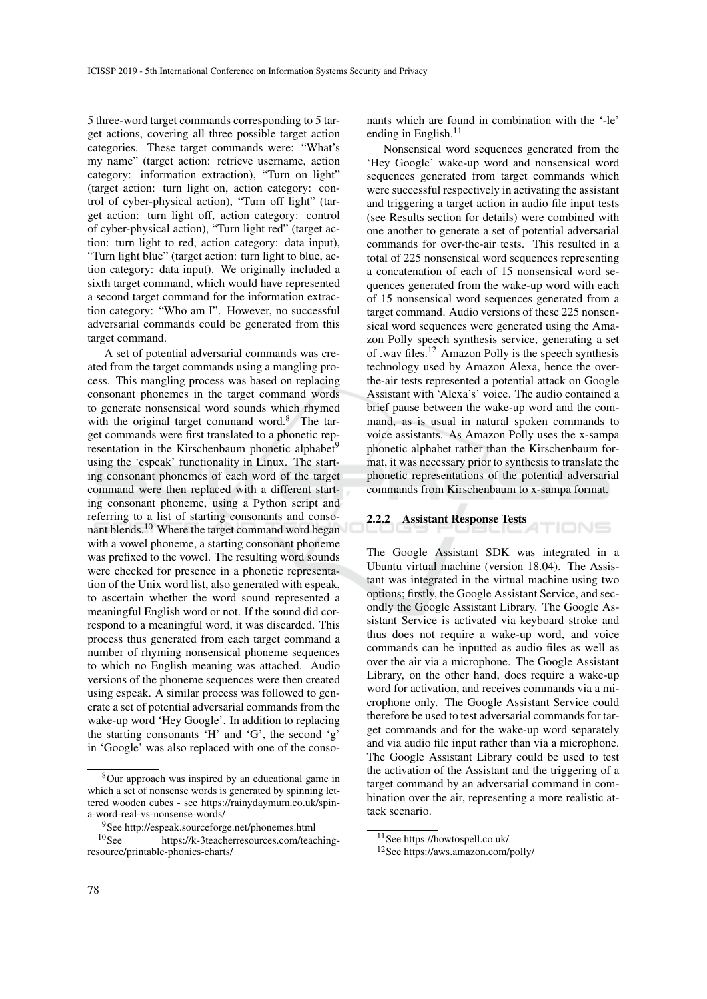5 three-word target commands corresponding to 5 target actions, covering all three possible target action categories. These target commands were: "What's my name" (target action: retrieve username, action category: information extraction), "Turn on light" (target action: turn light on, action category: control of cyber-physical action), "Turn off light" (target action: turn light off, action category: control of cyber-physical action), "Turn light red" (target action: turn light to red, action category: data input), "Turn light blue" (target action: turn light to blue, action category: data input). We originally included a sixth target command, which would have represented a second target command for the information extraction category: "Who am I". However, no successful adversarial commands could be generated from this target command.

A set of potential adversarial commands was created from the target commands using a mangling process. This mangling process was based on replacing consonant phonemes in the target command words to generate nonsensical word sounds which rhymed with the original target command word.<sup>8</sup> The target commands were first translated to a phonetic representation in the Kirschenbaum phonetic alphabet<sup>9</sup> using the 'espeak' functionality in Linux. The starting consonant phonemes of each word of the target command were then replaced with a different starting consonant phoneme, using a Python script and referring to a list of starting consonants and consonant blends.<sup>10</sup> Where the target command word began with a vowel phoneme, a starting consonant phoneme was prefixed to the vowel. The resulting word sounds were checked for presence in a phonetic representation of the Unix word list, also generated with espeak, to ascertain whether the word sound represented a meaningful English word or not. If the sound did correspond to a meaningful word, it was discarded. This process thus generated from each target command a number of rhyming nonsensical phoneme sequences to which no English meaning was attached. Audio versions of the phoneme sequences were then created using espeak. A similar process was followed to generate a set of potential adversarial commands from the wake-up word 'Hey Google'. In addition to replacing the starting consonants 'H' and 'G', the second 'g' in 'Google' was also replaced with one of the conso-

nants which are found in combination with the '-le' ending in English. $<sup>11</sup>$ </sup>

Nonsensical word sequences generated from the 'Hey Google' wake-up word and nonsensical word sequences generated from target commands which were successful respectively in activating the assistant and triggering a target action in audio file input tests (see Results section for details) were combined with one another to generate a set of potential adversarial commands for over-the-air tests. This resulted in a total of 225 nonsensical word sequences representing a concatenation of each of 15 nonsensical word sequences generated from the wake-up word with each of 15 nonsensical word sequences generated from a target command. Audio versions of these 225 nonsensical word sequences were generated using the Amazon Polly speech synthesis service, generating a set of .wav files.<sup>12</sup> Amazon Polly is the speech synthesis technology used by Amazon Alexa, hence the overthe-air tests represented a potential attack on Google Assistant with 'Alexa's' voice. The audio contained a brief pause between the wake-up word and the command, as is usual in natural spoken commands to voice assistants. As Amazon Polly uses the x-sampa phonetic alphabet rather than the Kirschenbaum format, it was necessary prior to synthesis to translate the phonetic representations of the potential adversarial commands from Kirschenbaum to x-sampa format.

#### 2.2.2 Assistant Response Tests

The Google Assistant SDK was integrated in a Ubuntu virtual machine (version 18.04). The Assistant was integrated in the virtual machine using two options; firstly, the Google Assistant Service, and secondly the Google Assistant Library. The Google Assistant Service is activated via keyboard stroke and thus does not require a wake-up word, and voice commands can be inputted as audio files as well as over the air via a microphone. The Google Assistant Library, on the other hand, does require a wake-up word for activation, and receives commands via a microphone only. The Google Assistant Service could therefore be used to test adversarial commands for target commands and for the wake-up word separately and via audio file input rather than via a microphone. The Google Assistant Library could be used to test the activation of the Assistant and the triggering of a target command by an adversarial command in combination over the air, representing a more realistic attack scenario.

TIONS

<sup>8</sup>Our approach was inspired by an educational game in which a set of nonsense words is generated by spinning lettered wooden cubes - see https://rainydaymum.co.uk/spina-word-real-vs-nonsense-words/

<sup>&</sup>lt;sup>9</sup>See http://espeak.sourceforge.net/phonemes.html  ${}^{10}$ See https://k-3teacherresources.com/teac https://k-3teacherresources.com/teachingresource/printable-phonics-charts/

<sup>11</sup>See https://howtospell.co.uk/

<sup>12</sup>See https://aws.amazon.com/polly/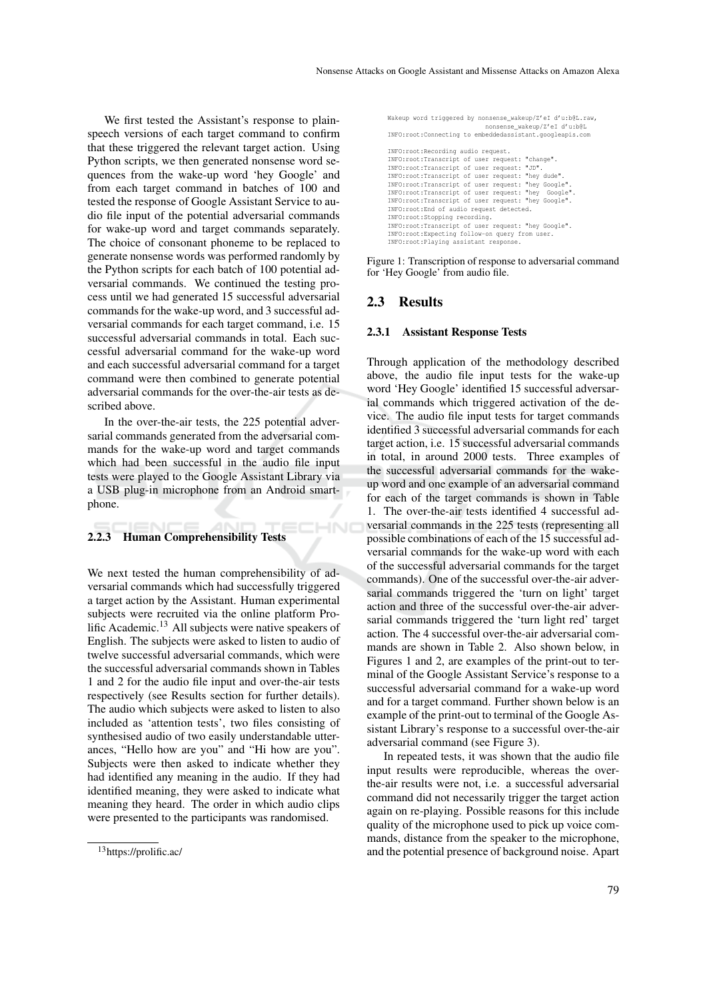We first tested the Assistant's response to plainspeech versions of each target command to confirm that these triggered the relevant target action. Using Python scripts, we then generated nonsense word sequences from the wake-up word 'hey Google' and from each target command in batches of 100 and tested the response of Google Assistant Service to audio file input of the potential adversarial commands for wake-up word and target commands separately. The choice of consonant phoneme to be replaced to generate nonsense words was performed randomly by the Python scripts for each batch of 100 potential adversarial commands. We continued the testing process until we had generated 15 successful adversarial commands for the wake-up word, and 3 successful adversarial commands for each target command, i.e. 15 successful adversarial commands in total. Each successful adversarial command for the wake-up word and each successful adversarial command for a target command were then combined to generate potential adversarial commands for the over-the-air tests as described above.

In the over-the-air tests, the 225 potential adversarial commands generated from the adversarial commands for the wake-up word and target commands which had been successful in the audio file input tests were played to the Google Assistant Library via a USB plug-in microphone from an Android smartphone.

### 2.2.3 Human Comprehensibility Tests

We next tested the human comprehensibility of adversarial commands which had successfully triggered a target action by the Assistant. Human experimental subjects were recruited via the online platform Prolific Academic.<sup>13</sup> All subjects were native speakers of English. The subjects were asked to listen to audio of twelve successful adversarial commands, which were the successful adversarial commands shown in Tables 1 and 2 for the audio file input and over-the-air tests respectively (see Results section for further details). The audio which subjects were asked to listen to also included as 'attention tests', two files consisting of synthesised audio of two easily understandable utterances, "Hello how are you" and "Hi how are you". Subjects were then asked to indicate whether they had identified any meaning in the audio. If they had identified meaning, they were asked to indicate what meaning they heard. The order in which audio clips were presented to the participants was randomised.

Wakeup word triggered by nonsense\_wakeup/Z'eI d'u:b@L.raw, nonsense\_wakeup/Z'eI d'u:b@L INFO:root:Connecting to embeddedassistant.googleapis.com INFO:root:Recording audio request. INFO:root:Transcript of user request: "change". INFO:root:Transcript of user request: "JD". INFO:root:Transcript of user request: "hey dude". INFO:root:Transcript of user request: "hey Google". INFO:root:Transcript of user request: "hey Google". INFO:root:Transcript of user request: "hey Google". INFO:root:End of audio request detected. INFO:root:Stopping recording. INFO:root:Transcript of user request: "hey Google". INFO:root:Expecting follow-on query from user. INFO:root:Playing assistant response.

Figure 1: Transcription of response to adversarial command for 'Hey Google' from audio file.

### 2.3 Results

CHNO

#### 2.3.1 Assistant Response Tests

Through application of the methodology described above, the audio file input tests for the wake-up word 'Hey Google' identified 15 successful adversarial commands which triggered activation of the device. The audio file input tests for target commands identified 3 successful adversarial commands for each target action, i.e. 15 successful adversarial commands in total, in around 2000 tests. Three examples of the successful adversarial commands for the wakeup word and one example of an adversarial command for each of the target commands is shown in Table 1. The over-the-air tests identified 4 successful adversarial commands in the 225 tests (representing all possible combinations of each of the 15 successful adversarial commands for the wake-up word with each of the successful adversarial commands for the target commands). One of the successful over-the-air adversarial commands triggered the 'turn on light' target action and three of the successful over-the-air adversarial commands triggered the 'turn light red' target action. The 4 successful over-the-air adversarial commands are shown in Table 2. Also shown below, in Figures 1 and 2, are examples of the print-out to terminal of the Google Assistant Service's response to a successful adversarial command for a wake-up word and for a target command. Further shown below is an example of the print-out to terminal of the Google Assistant Library's response to a successful over-the-air adversarial command (see Figure 3).

In repeated tests, it was shown that the audio file input results were reproducible, whereas the overthe-air results were not, i.e. a successful adversarial command did not necessarily trigger the target action again on re-playing. Possible reasons for this include quality of the microphone used to pick up voice commands, distance from the speaker to the microphone, and the potential presence of background noise. Apart

<sup>13</sup>https://prolific.ac/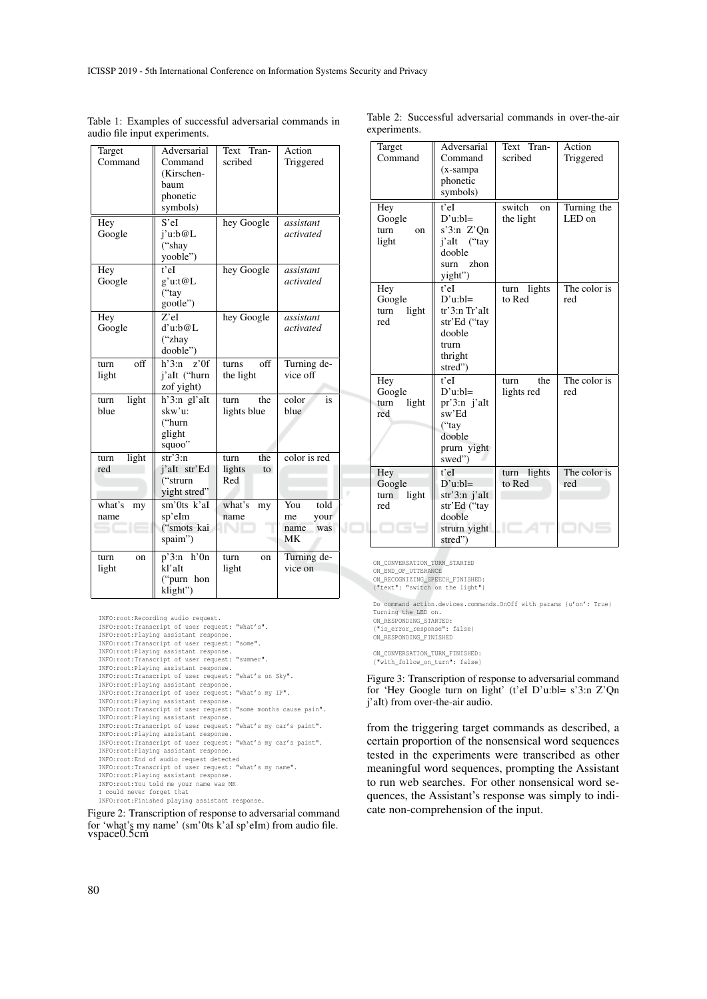| Target<br>Command     | Adversarial<br>Command<br>(Kirschen-<br>baum<br>phonetic<br>symbols) | Text<br>Tran-<br>scribed           | Action<br>Triggered                            |
|-----------------------|----------------------------------------------------------------------|------------------------------------|------------------------------------------------|
| Hey<br>Google         | S'el<br>j'u:b@L<br>("shay<br>yooble")                                | hey Google                         | assistant<br>activated                         |
| Hey<br>Google         | t'eI<br>g'u:t@L<br>("tay<br>gootle")                                 | hey Google                         | assistant<br>activated                         |
| Hey<br>Google         | $Z$ 'eI<br>d'u:b@L<br>("zhay<br>dooble")                             | hey Google                         | assistant<br>activated                         |
| off<br>turn<br>light  | $h^3:$ n<br>z'0f<br>j'aIt ("hurn<br>zof yight)                       | off<br>turns<br>the light          | Turning de-<br>vice off                        |
| light<br>turn<br>blue | h'3:n gl'aIt<br>skw'u:<br>("hurn<br>glight<br>squoo"                 | the<br>turn<br>lights blue         | color<br>is<br>blue                            |
| light<br>turn<br>red  | $str3$ :n<br>j'alt str'Ed<br>("strurn<br>yight stred"                | the<br>turn<br>lights<br>to<br>Red | color is red                                   |
| what's<br>my<br>name  | sm'0ts k'aI<br>sp'eIm<br>("smots kai<br>spaim")                      | what's<br>my<br>name               | You<br>told<br>your<br>me<br>name<br>was<br>МK |
| turn<br>on<br>light   | $p'3:n$ h'On<br>kl'aIt<br>"purn hon"<br>klight")                     | turn<br>on<br>light                | Turning de-<br>vice on                         |

Table 1: Examples of successful adversarial commands in audio file input experiments.

| INFO: root: Recording audio request.                                                                 |  |  |  |  |  |  |
|------------------------------------------------------------------------------------------------------|--|--|--|--|--|--|
| INFO: root: Transcript of user request: "what's".                                                    |  |  |  |  |  |  |
| INFO: root: Playing assistant response.                                                              |  |  |  |  |  |  |
| INFO: root: Transcript of user request: "some".                                                      |  |  |  |  |  |  |
| INFO:root:Playing assistant response.                                                                |  |  |  |  |  |  |
| INFO: root: Transcript of user request: "summer".                                                    |  |  |  |  |  |  |
| INFO:root:Playing assistant response.                                                                |  |  |  |  |  |  |
| INFO:root:Transcript of user request: "what's on Sky".                                               |  |  |  |  |  |  |
| INFO:root:Playing assistant response.                                                                |  |  |  |  |  |  |
| INFO:root:Transcript of user request: "what's my IP".                                                |  |  |  |  |  |  |
| INFO:root:Playing assistant response.                                                                |  |  |  |  |  |  |
| INFO: root: Transcript of user request: "some months cause pain".                                    |  |  |  |  |  |  |
| INFO: root: Playing assistant response.                                                              |  |  |  |  |  |  |
| INFO: root: Transcript of user request: "what's my car's paint".                                     |  |  |  |  |  |  |
| INFO:root:Playing assistant response.                                                                |  |  |  |  |  |  |
| INFO:root:Transcript of user request: "what's my car's paint".                                       |  |  |  |  |  |  |
| INFO:root:Playing assistant response.                                                                |  |  |  |  |  |  |
| INFO: root: End of audio request detected<br>INFO:root:Transcript of user request: "what's my name". |  |  |  |  |  |  |
| INFO:root:Playing assistant response.                                                                |  |  |  |  |  |  |
| INFO: root: You told me your name was MK                                                             |  |  |  |  |  |  |
| I could never forget that                                                                            |  |  |  |  |  |  |
| INFO: root: Finished playing assistant response.                                                     |  |  |  |  |  |  |
|                                                                                                      |  |  |  |  |  |  |

Figure 2: Transcription of response to adversarial command for 'what's my name' (sm'0ts k'aI sp'eIm) from audio file. vspace0.5cm

| Target<br>Command                     | Adversarial<br>Command<br>(x-sampa<br>phonetic<br>symbols)                                  | Text Tran-<br>scribed                | Action<br>Triggered   |
|---------------------------------------|---------------------------------------------------------------------------------------------|--------------------------------------|-----------------------|
| Hey<br>Google<br>turn<br>on<br>light  | t'eI<br>$D'u:b =$<br>s'3:n $Z'$ On<br>j'aIt ("tay<br>dooble<br>surn zhon<br>yight")         | switch<br><sub>on</sub><br>the light | Turning the<br>LED on |
| Hey<br>Google<br>light<br>turn<br>red | t'eI<br>$D'u:b =$<br>tr'3:n Tr'aIt<br>str'Ed ("tay<br>dooble<br>trurn<br>thright<br>stred") | lights<br>turn<br>to Red             | The color is<br>red   |
| Hey<br>Google<br>light<br>turn<br>red | t'eI<br>$D'u:b =$<br>$pr'3:n$ j'aIt<br>sw'Ed<br>("tay<br>dooble<br>prurn yight<br>swed")    | the<br>turn<br>lights red            | The color is<br>red   |
| Hey<br>Google<br>light<br>turn<br>red | $t$ 'eI<br>$D'u:b]=$<br>str'3:n j'aIt<br>str'Ed ("tay<br>dooble<br>strurn yight<br>stred")  | lights<br>turn<br>to Red             | The color is<br>red   |

experiments.

Table 2: Successful adversarial commands in over-the-air

ON\_CONVERSATION\_TURN\_STARTED ON\_END\_OF\_UTTERANCE

ON\_RECOGNIZING\_SPEECH\_FINISHED: {"text": "switch on the light"}

Do command action.devices.commands.OnOff with params {u'on': True} Turning the LED on. ON\_RESPONDING\_STARTED:

{"is\_error\_response": false} ON\_RESPONDING\_FINISHED

ON\_CONVERSATION\_TURN\_FINISHED: {"with\_follow\_on\_turn": false}

Figure 3: Transcription of response to adversarial command for 'Hey Google turn on light' (t'eI D'u:bl= s'3:n Z'Qn j'aIt) from over-the-air audio.

from the triggering target commands as described, a certain proportion of the nonsensical word sequences tested in the experiments were transcribed as other meaningful word sequences, prompting the Assistant to run web searches. For other nonsensical word sequences, the Assistant's response was simply to indicate non-comprehension of the input.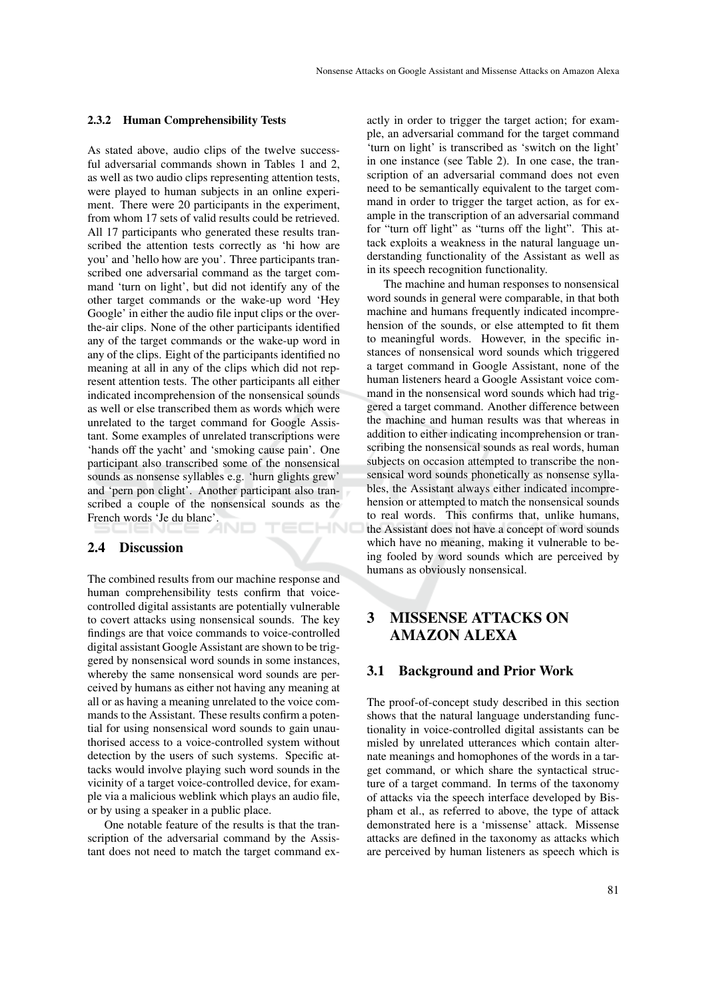#### 2.3.2 Human Comprehensibility Tests

As stated above, audio clips of the twelve successful adversarial commands shown in Tables 1 and 2, as well as two audio clips representing attention tests, were played to human subjects in an online experiment. There were 20 participants in the experiment, from whom 17 sets of valid results could be retrieved. All 17 participants who generated these results transcribed the attention tests correctly as 'hi how are you' and 'hello how are you'. Three participants transcribed one adversarial command as the target command 'turn on light', but did not identify any of the other target commands or the wake-up word 'Hey Google' in either the audio file input clips or the overthe-air clips. None of the other participants identified any of the target commands or the wake-up word in any of the clips. Eight of the participants identified no meaning at all in any of the clips which did not represent attention tests. The other participants all either indicated incomprehension of the nonsensical sounds as well or else transcribed them as words which were unrelated to the target command for Google Assistant. Some examples of unrelated transcriptions were 'hands off the yacht' and 'smoking cause pain'. One participant also transcribed some of the nonsensical sounds as nonsense syllables e.g. 'hurn glights grew' and 'pern pon clight'. Another participant also transcribed a couple of the nonsensical sounds as the French words 'Je du blanc'. IHNO

### 2.4 Discussion

The combined results from our machine response and human comprehensibility tests confirm that voicecontrolled digital assistants are potentially vulnerable to covert attacks using nonsensical sounds. The key findings are that voice commands to voice-controlled digital assistant Google Assistant are shown to be triggered by nonsensical word sounds in some instances, whereby the same nonsensical word sounds are perceived by humans as either not having any meaning at all or as having a meaning unrelated to the voice commands to the Assistant. These results confirm a potential for using nonsensical word sounds to gain unauthorised access to a voice-controlled system without detection by the users of such systems. Specific attacks would involve playing such word sounds in the vicinity of a target voice-controlled device, for example via a malicious weblink which plays an audio file, or by using a speaker in a public place.

One notable feature of the results is that the transcription of the adversarial command by the Assistant does not need to match the target command ex-

actly in order to trigger the target action; for example, an adversarial command for the target command 'turn on light' is transcribed as 'switch on the light' in one instance (see Table 2). In one case, the transcription of an adversarial command does not even need to be semantically equivalent to the target command in order to trigger the target action, as for example in the transcription of an adversarial command for "turn off light" as "turns off the light". This attack exploits a weakness in the natural language understanding functionality of the Assistant as well as in its speech recognition functionality.

The machine and human responses to nonsensical word sounds in general were comparable, in that both machine and humans frequently indicated incomprehension of the sounds, or else attempted to fit them to meaningful words. However, in the specific instances of nonsensical word sounds which triggered a target command in Google Assistant, none of the human listeners heard a Google Assistant voice command in the nonsensical word sounds which had triggered a target command. Another difference between the machine and human results was that whereas in addition to either indicating incomprehension or transcribing the nonsensical sounds as real words, human subjects on occasion attempted to transcribe the nonsensical word sounds phonetically as nonsense syllables, the Assistant always either indicated incomprehension or attempted to match the nonsensical sounds to real words. This confirms that, unlike humans, the Assistant does not have a concept of word sounds which have no meaning, making it vulnerable to being fooled by word sounds which are perceived by humans as obviously nonsensical.

# 3 MISSENSE ATTACKS ON AMAZON ALEXA

## 3.1 Background and Prior Work

The proof-of-concept study described in this section shows that the natural language understanding functionality in voice-controlled digital assistants can be misled by unrelated utterances which contain alternate meanings and homophones of the words in a target command, or which share the syntactical structure of a target command. In terms of the taxonomy of attacks via the speech interface developed by Bispham et al., as referred to above, the type of attack demonstrated here is a 'missense' attack. Missense attacks are defined in the taxonomy as attacks which are perceived by human listeners as speech which is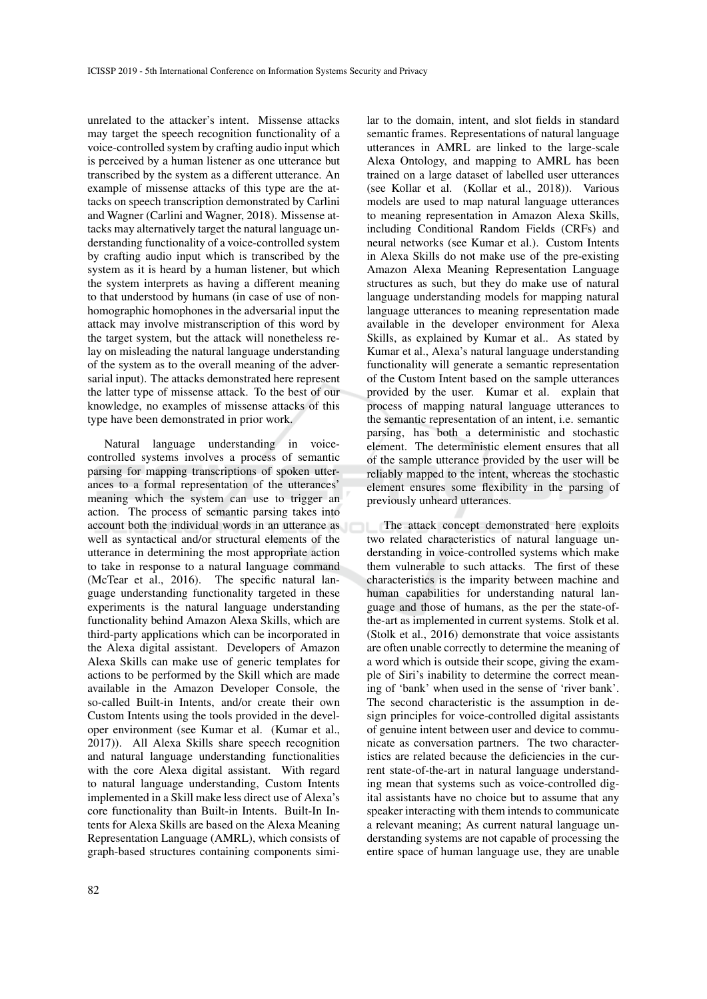unrelated to the attacker's intent. Missense attacks may target the speech recognition functionality of a voice-controlled system by crafting audio input which is perceived by a human listener as one utterance but transcribed by the system as a different utterance. An example of missense attacks of this type are the attacks on speech transcription demonstrated by Carlini and Wagner (Carlini and Wagner, 2018). Missense attacks may alternatively target the natural language understanding functionality of a voice-controlled system by crafting audio input which is transcribed by the system as it is heard by a human listener, but which the system interprets as having a different meaning to that understood by humans (in case of use of nonhomographic homophones in the adversarial input the attack may involve mistranscription of this word by the target system, but the attack will nonetheless relay on misleading the natural language understanding of the system as to the overall meaning of the adversarial input). The attacks demonstrated here represent the latter type of missense attack. To the best of our knowledge, no examples of missense attacks of this type have been demonstrated in prior work.

Natural language understanding in voicecontrolled systems involves a process of semantic parsing for mapping transcriptions of spoken utterances to a formal representation of the utterances' meaning which the system can use to trigger an action. The process of semantic parsing takes into account both the individual words in an utterance as well as syntactical and/or structural elements of the utterance in determining the most appropriate action to take in response to a natural language command (McTear et al., 2016). The specific natural language understanding functionality targeted in these experiments is the natural language understanding functionality behind Amazon Alexa Skills, which are third-party applications which can be incorporated in the Alexa digital assistant. Developers of Amazon Alexa Skills can make use of generic templates for actions to be performed by the Skill which are made available in the Amazon Developer Console, the so-called Built-in Intents, and/or create their own Custom Intents using the tools provided in the developer environment (see Kumar et al. (Kumar et al., 2017)). All Alexa Skills share speech recognition and natural language understanding functionalities with the core Alexa digital assistant. With regard to natural language understanding, Custom Intents implemented in a Skill make less direct use of Alexa's core functionality than Built-in Intents. Built-In Intents for Alexa Skills are based on the Alexa Meaning Representation Language (AMRL), which consists of graph-based structures containing components simi-

lar to the domain, intent, and slot fields in standard semantic frames. Representations of natural language utterances in AMRL are linked to the large-scale Alexa Ontology, and mapping to AMRL has been trained on a large dataset of labelled user utterances (see Kollar et al. (Kollar et al., 2018)). Various models are used to map natural language utterances to meaning representation in Amazon Alexa Skills, including Conditional Random Fields (CRFs) and neural networks (see Kumar et al.). Custom Intents in Alexa Skills do not make use of the pre-existing Amazon Alexa Meaning Representation Language structures as such, but they do make use of natural language understanding models for mapping natural language utterances to meaning representation made available in the developer environment for Alexa Skills, as explained by Kumar et al.. As stated by Kumar et al., Alexa's natural language understanding functionality will generate a semantic representation of the Custom Intent based on the sample utterances provided by the user. Kumar et al. explain that process of mapping natural language utterances to the semantic representation of an intent, i.e. semantic parsing, has both a deterministic and stochastic element. The deterministic element ensures that all of the sample utterance provided by the user will be reliably mapped to the intent, whereas the stochastic element ensures some flexibility in the parsing of previously unheard utterances.

The attack concept demonstrated here exploits two related characteristics of natural language understanding in voice-controlled systems which make them vulnerable to such attacks. The first of these characteristics is the imparity between machine and human capabilities for understanding natural language and those of humans, as the per the state-ofthe-art as implemented in current systems. Stolk et al. (Stolk et al., 2016) demonstrate that voice assistants are often unable correctly to determine the meaning of a word which is outside their scope, giving the example of Siri's inability to determine the correct meaning of 'bank' when used in the sense of 'river bank'. The second characteristic is the assumption in design principles for voice-controlled digital assistants of genuine intent between user and device to communicate as conversation partners. The two characteristics are related because the deficiencies in the current state-of-the-art in natural language understanding mean that systems such as voice-controlled digital assistants have no choice but to assume that any speaker interacting with them intends to communicate a relevant meaning; As current natural language understanding systems are not capable of processing the entire space of human language use, they are unable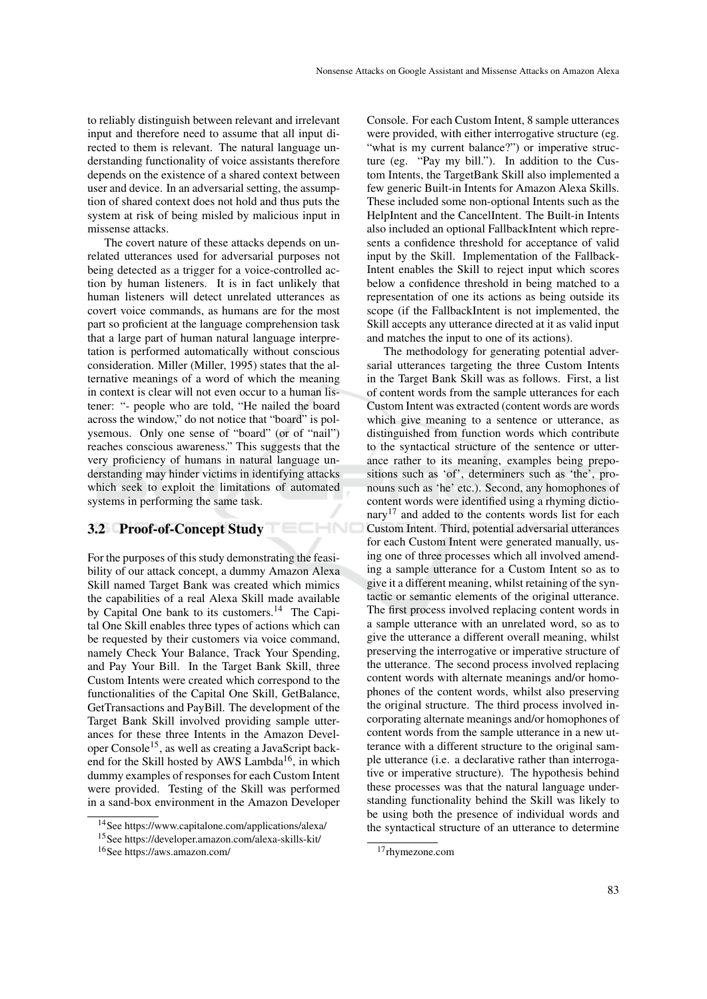to reliably distinguish between relevant and irrelevant input and therefore need to assume that all input directed to them is relevant. The natural language understanding functionality of voice assistants therefore depends on the existence of a shared context between user and device. In an adversarial setting, the assumption of shared context does not hold and thus puts the system at risk of being misled by malicious input in missense attacks.

The covert nature of these attacks depends on unrelated utterances used for adversarial purposes not being detected as a trigger for a voice-controlled action by human listeners. It is in fact unlikely that human listeners will detect unrelated utterances as covert voice commands, as humans are for the most part so proficient at the language comprehension task that a large part of human natural language interpretation is performed automatically without conscious consideration. Miller (Miller, 1995) states that the alternative meanings of a word of which the meaning in context is clear will not even occur to a human listener: "- people who are told, "He nailed the board across the window," do not notice that "board" is polysemous. Only one sense of "board" (or of "nail") reaches conscious awareness." This suggests that the very proficiency of humans in natural language understanding may hinder victims in identifying attacks which seek to exploit the limitations of automated systems in performing the same task.

# 3.2 Proof-of-Concept Study

For the purposes of this study demonstrating the feasibility of our attack concept, a dummy Amazon Alexa Skill named Target Bank was created which mimics the capabilities of a real Alexa Skill made available by Capital One bank to its customers.<sup>14</sup> The Capital One Skill enables three types of actions which can be requested by their customers via voice command, namely Check Your Balance, Track Your Spending, and Pay Your Bill. In the Target Bank Skill, three Custom Intents were created which correspond to the functionalities of the Capital One Skill, GetBalance, GetTransactions and PayBill. The development of the Target Bank Skill involved providing sample utterances for these three Intents in the Amazon Developer Console<sup>15</sup>, as well as creating a JavaScript backend for the Skill hosted by AWS Lambda<sup>16</sup>, in which dummy examples of responses for each Custom Intent were provided. Testing of the Skill was performed in a sand-box environment in the Amazon Developer Console. For each Custom Intent, 8 sample utterances were provided, with either interrogative structure (eg. "what is my current balance?") or imperative structure (eg. "Pay my bill."). In addition to the Custom Intents, the TargetBank Skill also implemented a few generic Built-in Intents for Amazon Alexa Skills. These included some non-optional Intents such as the HelpIntent and the CancelIntent. The Built-in Intents also included an optional FallbackIntent which represents a confidence threshold for acceptance of valid input by the Skill. Implementation of the Fallback-Intent enables the Skill to reject input which scores below a confidence threshold in being matched to a representation of one its actions as being outside its scope (if the FallbackIntent is not implemented, the Skill accepts any utterance directed at it as valid input and matches the input to one of its actions).

The methodology for generating potential adversarial utterances targeting the three Custom Intents in the Target Bank Skill was as follows. First, a list of content words from the sample utterances for each Custom Intent was extracted (content words are words which give meaning to a sentence or utterance, as distinguished from function words which contribute to the syntactical structure of the sentence or utterance rather to its meaning, examples being prepositions such as 'of', determiners such as 'the', pronouns such as 'he' etc.). Second, any homophones of content words were identified using a rhyming dictionary<sup>17</sup> and added to the contents words list for each Custom Intent. Third, potential adversarial utterances for each Custom Intent were generated manually, using one of three processes which all involved amending a sample utterance for a Custom Intent so as to give it a different meaning, whilst retaining of the syntactic or semantic elements of the original utterance. The first process involved replacing content words in a sample utterance with an unrelated word, so as to give the utterance a different overall meaning, whilst preserving the interrogative or imperative structure of the utterance. The second process involved replacing content words with alternate meanings and/or homophones of the content words, whilst also preserving the original structure. The third process involved incorporating alternate meanings and/or homophones of content words from the sample utterance in a new utterance with a different structure to the original sample utterance (i.e. a declarative rather than interrogative or imperative structure). The hypothesis behind these processes was that the natural language understanding functionality behind the Skill was likely to be using both the presence of individual words and the syntactical structure of an utterance to determine

<sup>14</sup>See https://www.capitalone.com/applications/alexa/ <sup>15</sup>See https://developer.amazon.com/alexa-skills-kit/

<sup>16</sup>See https://aws.amazon.com/

<sup>&</sup>lt;sup>17</sup>rhymezone.com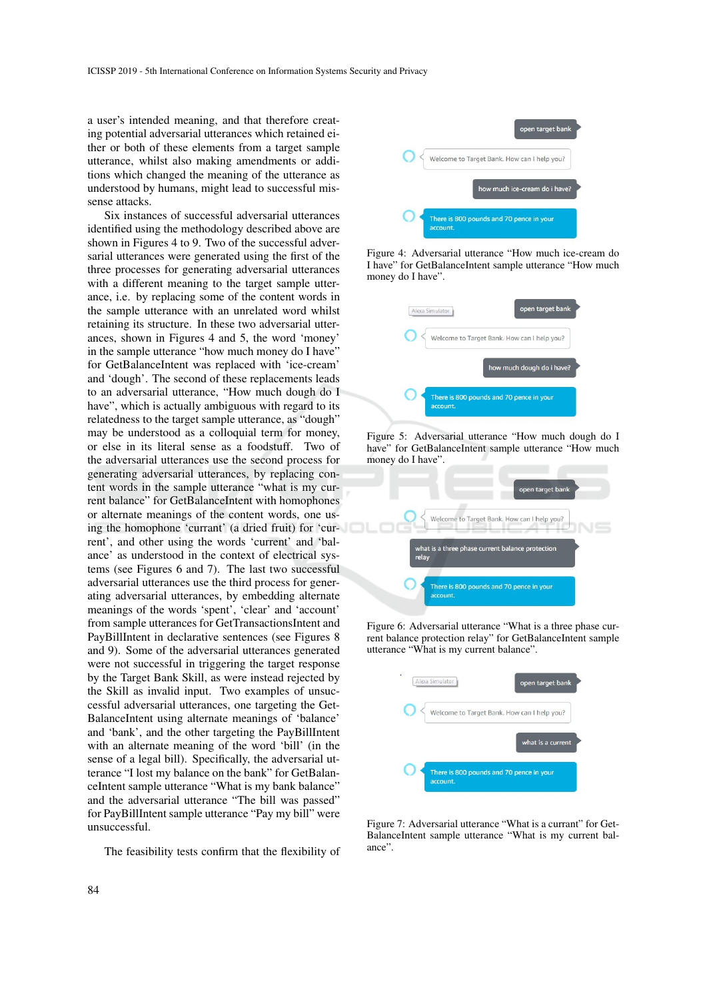a user's intended meaning, and that therefore creating potential adversarial utterances which retained either or both of these elements from a target sample utterance, whilst also making amendments or additions which changed the meaning of the utterance as understood by humans, might lead to successful missense attacks.

Six instances of successful adversarial utterances identified using the methodology described above are shown in Figures 4 to 9. Two of the successful adversarial utterances were generated using the first of the three processes for generating adversarial utterances with a different meaning to the target sample utterance, i.e. by replacing some of the content words in the sample utterance with an unrelated word whilst retaining its structure. In these two adversarial utterances, shown in Figures 4 and 5, the word 'money' in the sample utterance "how much money do I have" for GetBalanceIntent was replaced with 'ice-cream' and 'dough'. The second of these replacements leads to an adversarial utterance, "How much dough do I have", which is actually ambiguous with regard to its relatedness to the target sample utterance, as "dough" may be understood as a colloquial term for money, or else in its literal sense as a foodstuff. Two of the adversarial utterances use the second process for generating adversarial utterances, by replacing content words in the sample utterance "what is my current balance" for GetBalanceIntent with homophones or alternate meanings of the content words, one using the homophone 'currant' (a dried fruit) for 'current', and other using the words 'current' and 'balance' as understood in the context of electrical systems (see Figures 6 and 7). The last two successful adversarial utterances use the third process for generating adversarial utterances, by embedding alternate meanings of the words 'spent', 'clear' and 'account' from sample utterances for GetTransactionsIntent and PayBillIntent in declarative sentences (see Figures 8 and 9). Some of the adversarial utterances generated were not successful in triggering the target response by the Target Bank Skill, as were instead rejected by the Skill as invalid input. Two examples of unsuccessful adversarial utterances, one targeting the Get-BalanceIntent using alternate meanings of 'balance' and 'bank', and the other targeting the PayBillIntent with an alternate meaning of the word 'bill' (in the sense of a legal bill). Specifically, the adversarial utterance "I lost my balance on the bank" for GetBalanceIntent sample utterance "What is my bank balance" and the adversarial utterance "The bill was passed" for PayBillIntent sample utterance "Pay my bill" were unsuccessful.

The feasibility tests confirm that the flexibility of



Figure 4: Adversarial utterance "How much ice-cream do I have" for GetBalanceIntent sample utterance "How much money do I have".



Figure 5: Adversarial utterance "How much dough do I have" for GetBalanceIntent sample utterance "How much money do I have".



Figure 6: Adversarial utterance "What is a three phase current balance protection relay" for GetBalanceIntent sample utterance "What is my current balance".



Figure 7: Adversarial utterance "What is a currant" for Get-BalanceIntent sample utterance "What is my current balance".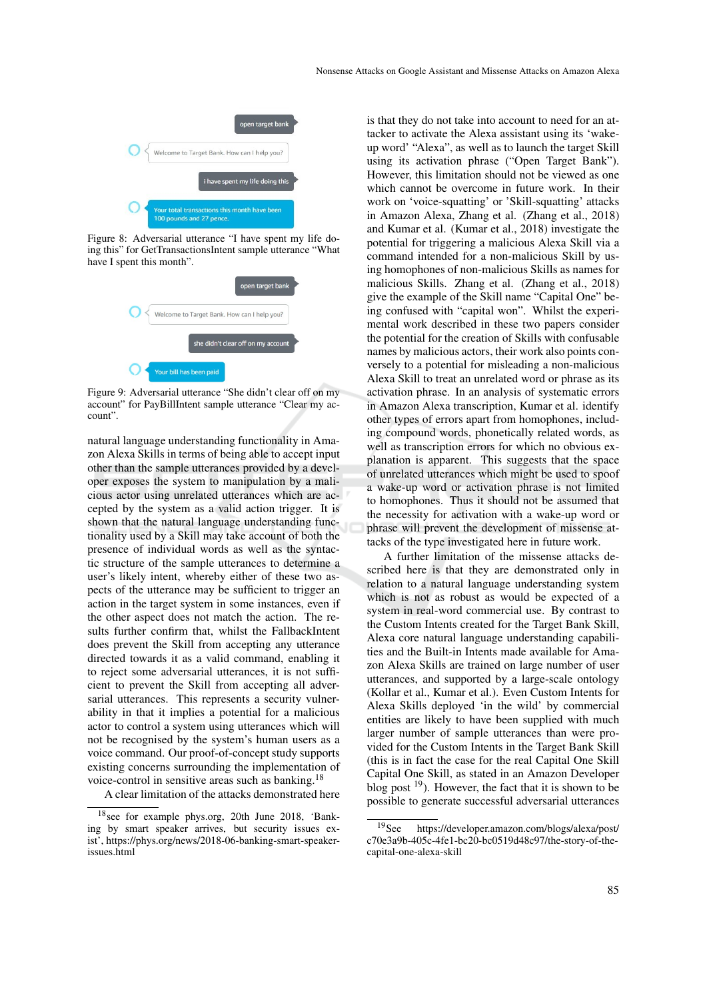

Figure 8: Adversarial utterance "I have spent my life doing this" for GetTransactionsIntent sample utterance "What have I spent this month".



Figure 9: Adversarial utterance "She didn't clear off on my account" for PayBillIntent sample utterance "Clear my account".

natural language understanding functionality in Amazon Alexa Skills in terms of being able to accept input other than the sample utterances provided by a developer exposes the system to manipulation by a malicious actor using unrelated utterances which are accepted by the system as a valid action trigger. It is shown that the natural language understanding functionality used by a Skill may take account of both the presence of individual words as well as the syntactic structure of the sample utterances to determine a user's likely intent, whereby either of these two aspects of the utterance may be sufficient to trigger an action in the target system in some instances, even if the other aspect does not match the action. The results further confirm that, whilst the FallbackIntent does prevent the Skill from accepting any utterance directed towards it as a valid command, enabling it to reject some adversarial utterances, it is not sufficient to prevent the Skill from accepting all adversarial utterances. This represents a security vulnerability in that it implies a potential for a malicious actor to control a system using utterances which will not be recognised by the system's human users as a voice command. Our proof-of-concept study supports existing concerns surrounding the implementation of voice-control in sensitive areas such as banking.<sup>18</sup>

A clear limitation of the attacks demonstrated here

is that they do not take into account to need for an attacker to activate the Alexa assistant using its 'wakeup word' "Alexa", as well as to launch the target Skill using its activation phrase ("Open Target Bank"). However, this limitation should not be viewed as one which cannot be overcome in future work. In their work on 'voice-squatting' or 'Skill-squatting' attacks in Amazon Alexa, Zhang et al. (Zhang et al., 2018) and Kumar et al. (Kumar et al., 2018) investigate the potential for triggering a malicious Alexa Skill via a command intended for a non-malicious Skill by using homophones of non-malicious Skills as names for malicious Skills. Zhang et al. (Zhang et al., 2018) give the example of the Skill name "Capital One" being confused with "capital won". Whilst the experimental work described in these two papers consider the potential for the creation of Skills with confusable names by malicious actors, their work also points conversely to a potential for misleading a non-malicious Alexa Skill to treat an unrelated word or phrase as its activation phrase. In an analysis of systematic errors in Amazon Alexa transcription, Kumar et al. identify other types of errors apart from homophones, including compound words, phonetically related words, as well as transcription errors for which no obvious explanation is apparent. This suggests that the space of unrelated utterances which might be used to spoof a wake-up word or activation phrase is not limited to homophones. Thus it should not be assumed that the necessity for activation with a wake-up word or phrase will prevent the development of missense attacks of the type investigated here in future work.

A further limitation of the missense attacks described here is that they are demonstrated only in relation to a natural language understanding system which is not as robust as would be expected of a system in real-word commercial use. By contrast to the Custom Intents created for the Target Bank Skill, Alexa core natural language understanding capabilities and the Built-in Intents made available for Amazon Alexa Skills are trained on large number of user utterances, and supported by a large-scale ontology (Kollar et al., Kumar et al.). Even Custom Intents for Alexa Skills deployed 'in the wild' by commercial entities are likely to have been supplied with much larger number of sample utterances than were provided for the Custom Intents in the Target Bank Skill (this is in fact the case for the real Capital One Skill Capital One Skill, as stated in an Amazon Developer blog post  $19$ ). However, the fact that it is shown to be possible to generate successful adversarial utterances

<sup>18</sup>see for example phys.org, 20th June 2018, 'Banking by smart speaker arrives, but security issues exist', https://phys.org/news/2018-06-banking-smart-speakerissues.html

<sup>19</sup>See https://developer.amazon.com/blogs/alexa/post/ c70e3a9b-405c-4fe1-bc20-bc0519d48c97/the-story-of-thecapital-one-alexa-skill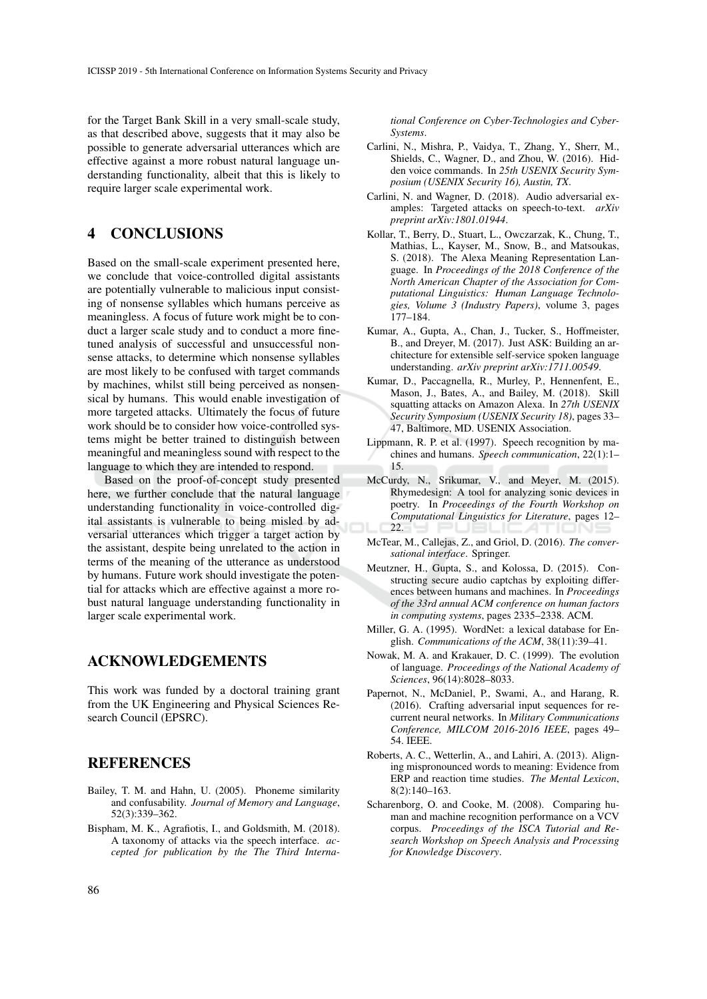for the Target Bank Skill in a very small-scale study, as that described above, suggests that it may also be possible to generate adversarial utterances which are effective against a more robust natural language understanding functionality, albeit that this is likely to require larger scale experimental work.

## 4 CONCLUSIONS

Based on the small-scale experiment presented here, we conclude that voice-controlled digital assistants are potentially vulnerable to malicious input consisting of nonsense syllables which humans perceive as meaningless. A focus of future work might be to conduct a larger scale study and to conduct a more finetuned analysis of successful and unsuccessful nonsense attacks, to determine which nonsense syllables are most likely to be confused with target commands by machines, whilst still being perceived as nonsensical by humans. This would enable investigation of more targeted attacks. Ultimately the focus of future work should be to consider how voice-controlled systems might be better trained to distinguish between meaningful and meaningless sound with respect to the language to which they are intended to respond.

Based on the proof-of-concept study presented here, we further conclude that the natural language understanding functionality in voice-controlled digital assistants is vulnerable to being misled by adversarial utterances which trigger a target action by the assistant, despite being unrelated to the action in terms of the meaning of the utterance as understood by humans. Future work should investigate the potential for attacks which are effective against a more robust natural language understanding functionality in larger scale experimental work.

## ACKNOWLEDGEMENTS

This work was funded by a doctoral training grant from the UK Engineering and Physical Sciences Research Council (EPSRC).

## **REFERENCES**

- Bailey, T. M. and Hahn, U. (2005). Phoneme similarity and confusability. *Journal of Memory and Language*, 52(3):339–362.
- Bispham, M. K., Agrafiotis, I., and Goldsmith, M. (2018). A taxonomy of attacks via the speech interface. *accepted for publication by the The Third Interna-*

*tional Conference on Cyber-Technologies and Cyber-Systems*.

- Carlini, N., Mishra, P., Vaidya, T., Zhang, Y., Sherr, M., Shields, C., Wagner, D., and Zhou, W. (2016). Hidden voice commands. In *25th USENIX Security Symposium (USENIX Security 16), Austin, TX*.
- Carlini, N. and Wagner, D. (2018). Audio adversarial examples: Targeted attacks on speech-to-text. *arXiv preprint arXiv:1801.01944*.
- Kollar, T., Berry, D., Stuart, L., Owczarzak, K., Chung, T., Mathias, L., Kayser, M., Snow, B., and Matsoukas, S. (2018). The Alexa Meaning Representation Language. In *Proceedings of the 2018 Conference of the North American Chapter of the Association for Computational Linguistics: Human Language Technologies, Volume 3 (Industry Papers)*, volume 3, pages 177–184.
- Kumar, A., Gupta, A., Chan, J., Tucker, S., Hoffmeister, B., and Dreyer, M. (2017). Just ASK: Building an architecture for extensible self-service spoken language understanding. *arXiv preprint arXiv:1711.00549*.
- Kumar, D., Paccagnella, R., Murley, P., Hennenfent, E., Mason, J., Bates, A., and Bailey, M. (2018). Skill squatting attacks on Amazon Alexa. In *27th USENIX Security Symposium (USENIX Security 18)*, pages 33– 47, Baltimore, MD. USENIX Association.
- Lippmann, R. P. et al. (1997). Speech recognition by machines and humans. *Speech communication*, 22(1):1– 15.
- McCurdy, N., Srikumar, V., and Meyer, M. (2015). Rhymedesign: A tool for analyzing sonic devices in poetry. In *Proceedings of the Fourth Workshop on Computational Linguistics for Literature*, pages 12– 22.
- McTear, M., Callejas, Z., and Griol, D. (2016). *The conversational interface*. Springer.
- Meutzner, H., Gupta, S., and Kolossa, D. (2015). Constructing secure audio captchas by exploiting differences between humans and machines. In *Proceedings of the 33rd annual ACM conference on human factors in computing systems*, pages 2335–2338. ACM.
- Miller, G. A. (1995). WordNet: a lexical database for English. *Communications of the ACM*, 38(11):39–41.
- Nowak, M. A. and Krakauer, D. C. (1999). The evolution of language. *Proceedings of the National Academy of Sciences*, 96(14):8028–8033.
- Papernot, N., McDaniel, P., Swami, A., and Harang, R. (2016). Crafting adversarial input sequences for recurrent neural networks. In *Military Communications Conference, MILCOM 2016-2016 IEEE*, pages 49– 54. IEEE.
- Roberts, A. C., Wetterlin, A., and Lahiri, A. (2013). Aligning mispronounced words to meaning: Evidence from ERP and reaction time studies. *The Mental Lexicon*, 8(2):140–163.
- Scharenborg, O. and Cooke, M. (2008). Comparing human and machine recognition performance on a VCV corpus. *Proceedings of the ISCA Tutorial and Research Workshop on Speech Analysis and Processing for Knowledge Discovery*.